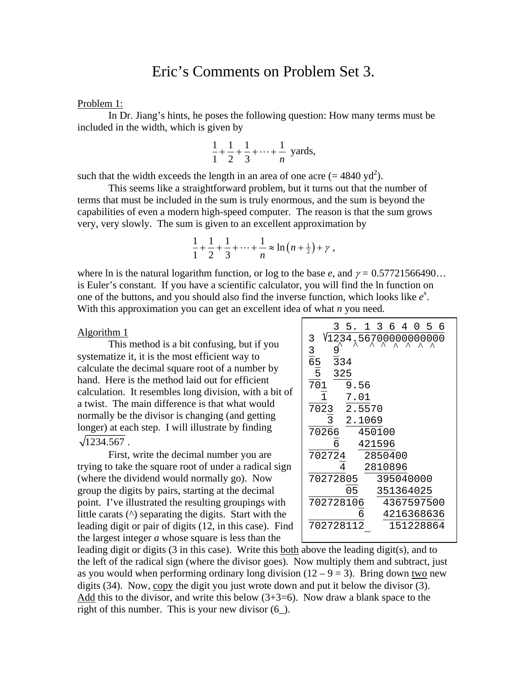# Eric's Comments on Problem Set 3.

## Problem 1:

 In Dr. Jiang's hints, he poses the following question: How many terms must be included in the width, which is given by

$$
\frac{1}{1} + \frac{1}{2} + \frac{1}{3} + \dots + \frac{1}{n}
$$
 yards,

such that the width exceeds the length in an area of one acre  $(= 4840 \text{ yd}^2)$ .

 This seems like a straightforward problem, but it turns out that the number of terms that must be included in the sum is truly enormous, and the sum is beyond the capabilities of even a modern high-speed computer. The reason is that the sum grows very, very slowly. The sum is given to an excellent approximation by

$$
\frac{1}{1} + \frac{1}{2} + \frac{1}{3} + \dots + \frac{1}{n} \approx \ln (n + \frac{1}{2}) + \gamma,
$$

where ln is the natural logarithm function, or log to the base  $e$ , and  $\gamma = 0.57721566490...$ is Euler's constant. If you have a scientific calculator, you will find the ln function on one of the buttons, and you should also find the inverse function, which looks like  $e^x$ . With this approximation you can get an excellent idea of what *n* you need.

# Algorithm 1

 This method is a bit confusing, but if you systematize it, it is the most efficient way to calculate the decimal square root of a number by hand. Here is the method laid out for efficient calculation. It resembles long division, with a bit of a twist. The main difference is that what would normally be the divisor is changing (and getting longer) at each step. I will illustrate by finding  $\sqrt{1234.567}$ .

 First, write the decimal number you are trying to take the square root of under a radical sign (where the dividend would normally go). Now group the digits by pairs, starting at the decimal point. I've illustrated the resulting groupings with little carats (^) separating the digits. Start with the leading digit or pair of digits (12, in this case). Find the largest integer *a* whose square is less than the

| 5. 1<br>364<br>6<br>0<br>5 |
|----------------------------|
| V1234,5670,000000000       |
| $\frac{3}{65}$<br>9        |
| $\frac{1}{3}$ 34           |
| 5<br>325                   |
| 701<br>9.56                |
| 7.01                       |
| 2.5570<br>7023             |
| 2.1069                     |
| 70266<br>450100            |
| 6<br>421596                |
| 702724<br>2850400          |
| 4<br>2810896               |
| 70272805<br>395040000      |
| 351364025<br>05            |
| 702728106<br>4367597500    |
| 6<br>4216368636            |
| 702728112<br>151228864     |
|                            |

leading digit or digits (3 in this case). Write this both above the leading digit(s), and to the left of the radical sign (where the divisor goes). Now multiply them and subtract, just as you would when performing ordinary long division  $(12 - 9 = 3)$ . Bring down two new digits (34). Now, copy the digit you just wrote down and put it below the divisor (3). Add this to the divisor, and write this below  $(3+3=6)$ . Now draw a blank space to the right of this number. This is your new divisor (6\_).